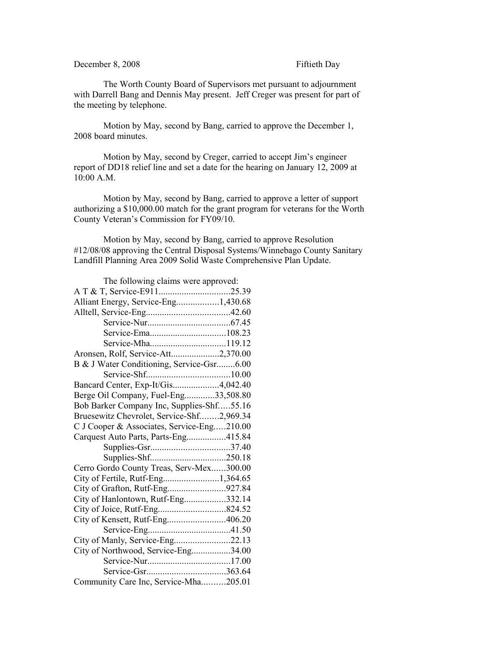## December 8, 2008 Fiftieth Day

The Worth County Board of Supervisors met pursuant to adjournment with Darrell Bang and Dennis May present. Jeff Creger was present for part of the meeting by telephone.

Motion by May, second by Bang, carried to approve the December 1, 2008 board minutes.

Motion by May, second by Creger, carried to accept Jim's engineer report of DD18 relief line and set a date for the hearing on January 12, 2009 at 10:00 A.M.

Motion by May, second by Bang, carried to approve a letter of support authorizing a \$10,000.00 match for the grant program for veterans for the Worth County Veteran's Commission for FY09/10.

Motion by May, second by Bang, carried to approve Resolution #12/08/08 approving the Central Disposal Systems/Winnebago County Sanitary Landfill Planning Area 2009 Solid Waste Comprehensive Plan Update.

| The following claims were approved:        |  |
|--------------------------------------------|--|
|                                            |  |
| Alliant Energy, Service-Eng1,430.68        |  |
|                                            |  |
|                                            |  |
|                                            |  |
|                                            |  |
| Aronsen, Rolf, Service-Att2,370.00         |  |
| B & J Water Conditioning, Service-Gsr6.00  |  |
|                                            |  |
| Bancard Center, Exp-It/Gis4,042.40         |  |
| Berge Oil Company, Fuel-Eng33,508.80       |  |
| Bob Barker Company Inc, Supplies-Shf55.16  |  |
| Bruesewitz Chevrolet, Service-Shf2,969.34  |  |
| C J Cooper & Associates, Service-Eng210.00 |  |
| Carquest Auto Parts, Parts-Eng415.84       |  |
|                                            |  |
|                                            |  |
| Cerro Gordo County Treas, Serv-Mex300.00   |  |
|                                            |  |
| City of Grafton, Rutf-Eng927.84            |  |
| City of Hanlontown, Rutf-Eng332.14         |  |
|                                            |  |
| City of Kensett, Rutf-Eng406.20            |  |
|                                            |  |
| City of Manly, Service-Eng22.13            |  |
| City of Northwood, Service-Eng34.00        |  |
|                                            |  |
|                                            |  |
| Community Care Inc, Service-Mha205.01      |  |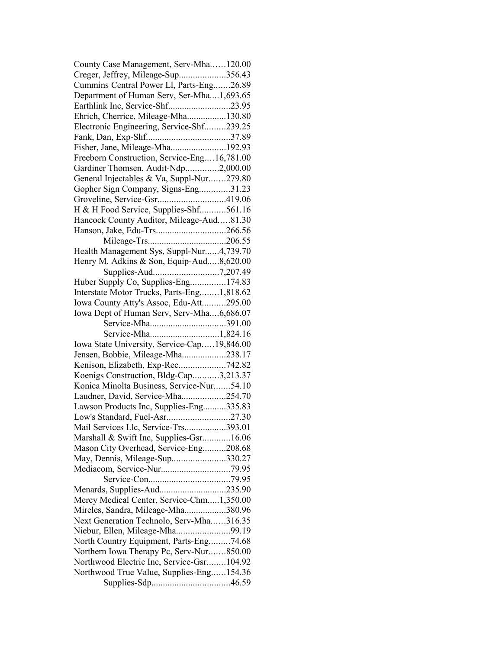| County Case Management, Serv-Mha120.00      |  |
|---------------------------------------------|--|
| Creger, Jeffrey, Mileage-Sup356.43          |  |
| Cummins Central Power Ll, Parts-Eng26.89    |  |
| Department of Human Serv, Ser-Mha1,693.65   |  |
| Earthlink Inc, Service-Shf23.95             |  |
| Ehrich, Cherrice, Mileage-Mha130.80         |  |
| Electronic Engineering, Service-Shf239.25   |  |
|                                             |  |
| Fisher, Jane, Mileage-Mha192.93             |  |
| Freeborn Construction, Service-Eng16,781.00 |  |
| Gardiner Thomsen, Audit-Ndp2,000.00         |  |
| General Injectables & Va, Suppl-Nur279.80   |  |
| Gopher Sign Company, Signs-Eng31.23         |  |
| Groveline, Service-Gsr419.06                |  |
| H & H Food Service, Supplies-Shf561.16      |  |
| Hancock County Auditor, Mileage-Aud81.30    |  |
|                                             |  |
|                                             |  |
| Health Management Sys, Suppl-Nur4,739.70    |  |
| Henry M. Adkins & Son, Equip-Aud8,620.00    |  |
|                                             |  |
| Huber Supply Co, Supplies-Eng174.83         |  |
| Interstate Motor Trucks, Parts-Eng1,818.62  |  |
| Iowa County Atty's Assoc, Edu-Att295.00     |  |
| Iowa Dept of Human Serv, Serv-Mha6,686.07   |  |
|                                             |  |
|                                             |  |
| Iowa State University, Service-Cap19,846.00 |  |
| Jensen, Bobbie, Mileage-Mha238.17           |  |
| Kenison, Elizabeth, Exp-Rec742.82           |  |
| Koenigs Construction, Bldg-Cap3,213.37      |  |
| Konica Minolta Business, Service-Nur54.10   |  |
| Laudner, David, Service-Mha254.70           |  |
| Lawson Products Inc, Supplies-Eng335.83     |  |
|                                             |  |
| Mail Services Llc, Service-Trs393.01        |  |
| Marshall & Swift Inc, Supplies-Gsr16.06     |  |
| Mason City Overhead, Service-Eng208.68      |  |
| May, Dennis, Mileage-Sup330.27              |  |
|                                             |  |
|                                             |  |
| Menards, Supplies-Aud235.90                 |  |
| Mercy Medical Center, Service-Chm1,350.00   |  |
| Mireles, Sandra, Mileage-Mha380.96          |  |
| Next Generation Technolo, Serv-Mha316.35    |  |
| Niebur, Ellen, Mileage-Mha99.19             |  |
| North Country Equipment, Parts-Eng74.68     |  |
| Northern Iowa Therapy Pc, Serv-Nur850.00    |  |
| Northwood Electric Inc, Service-Gsr104.92   |  |
|                                             |  |
| Northwood True Value, Supplies-Eng154.36    |  |
|                                             |  |